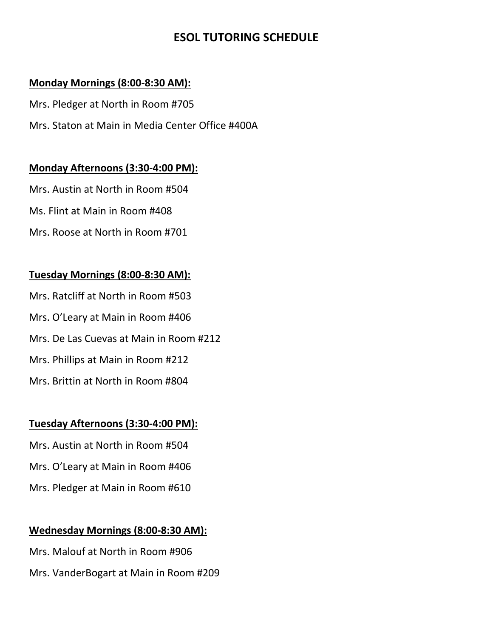# **ESOL TUTORING SCHEDULE**

#### **Monday Mornings (8:00-8:30 AM):**

Mrs. Pledger at North in Room #705

Mrs. Staton at Main in Media Center Office #400A

### **Monday Afternoons (3:30-4:00 PM):**

Mrs. Austin at North in Room #504

Ms. Flint at Main in Room #408

Mrs. Roose at North in Room #701

### **Tuesday Mornings (8:00-8:30 AM):**

Mrs. Ratcliff at North in Room #503 Mrs. O'Leary at Main in Room #406 Mrs. De Las Cuevas at Main in Room #212 Mrs. Phillips at Main in Room #212 Mrs. Brittin at North in Room #804

## **Tuesday Afternoons (3:30-4:00 PM):**

Mrs. Austin at North in Room #504 Mrs. O'Leary at Main in Room #406 Mrs. Pledger at Main in Room #610

## **Wednesday Mornings (8:00-8:30 AM):**

Mrs. Malouf at North in Room #906 Mrs. VanderBogart at Main in Room #209